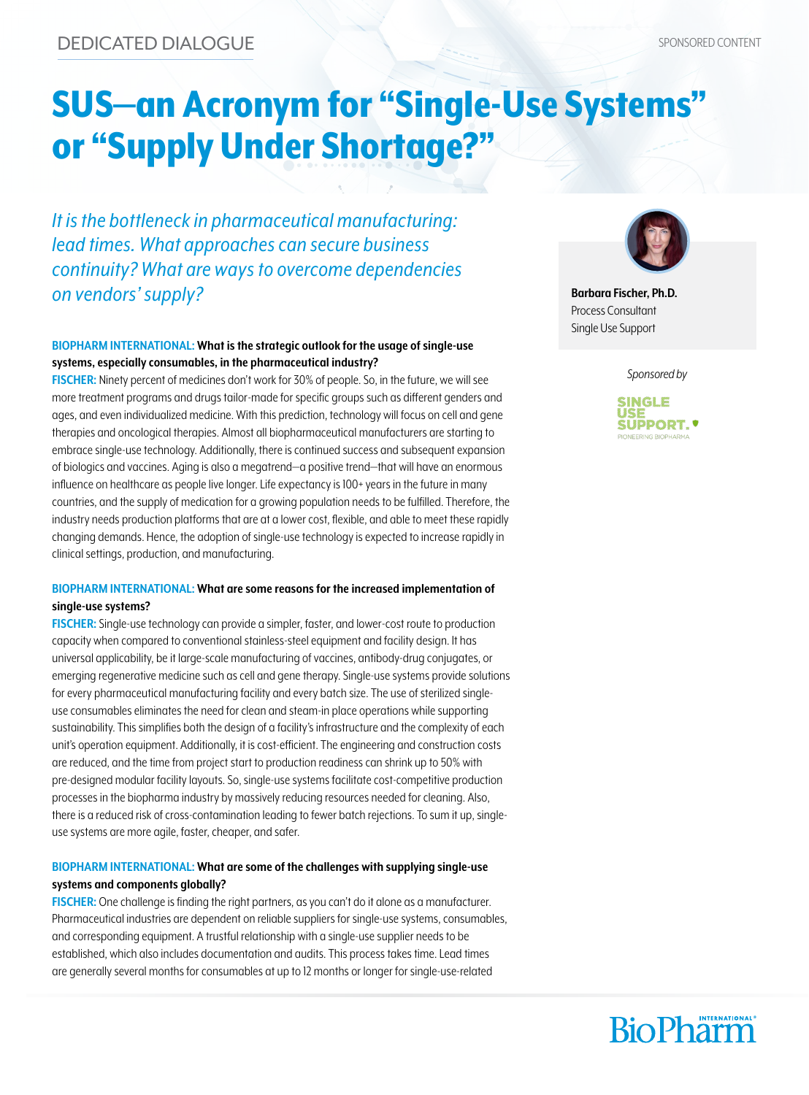# SUS—an Acronym for "Single-Use Systems" or "Supply Under Shortage?"

*It is the bottleneck in pharmaceutical manufacturing: lead times. What approaches can secure business continuity? What are ways to overcome dependencies on vendors' supply?*

#### **BIOPHARM INTERNATIONAL: What is the strategic outlook for the usage of single-use systems, especially consumables, in the pharmaceutical industry?**

**FISCHER:** Ninety percent of medicines don't work for 30% of people. So, in the future, we will see more treatment programs and drugs tailor-made for specific groups such as different genders and ages, and even individualized medicine. With this prediction, technology will focus on cell and gene therapies and oncological therapies. Almost all biopharmaceutical manufacturers are starting to embrace single-use technology. Additionally, there is continued success and subsequent expansion of biologics and vaccines. Aging is also a megatrend—a positive trend—that will have an enormous influence on healthcare as people live longer. Life expectancy is 100+ years in the future in many countries, and the supply of medication for a growing population needs to be fulfilled. Therefore, the industry needs production platforms that are at a lower cost, flexible, and able to meet these rapidly changing demands. Hence, the adoption of single-use technology is expected to increase rapidly in clinical settings, production, and manufacturing.

#### **BIOPHARM INTERNATIONAL: What are some reasons for the increased implementation of single-use systems?**

**FISCHER:** Single-use technology can provide a simpler, faster, and lower-cost route to production capacity when compared to conventional stainless-steel equipment and facility design. It has universal applicability, be it large-scale manufacturing of vaccines, antibody-drug conjugates, or emerging regenerative medicine such as cell and gene therapy. Single-use systems provide solutions for every pharmaceutical manufacturing facility and every batch size. The use of sterilized singleuse consumables eliminates the need for clean and steam-in place operations while supporting sustainability. This simplifies both the design of a facility's infrastructure and the complexity of each unit's operation equipment. Additionally, it is cost-efficient. The engineering and construction costs are reduced, and the time from project start to production readiness can shrink up to 50% with pre-designed modular facility layouts. So, single-use systems facilitate cost-competitive production processes in the biopharma industry by massively reducing resources needed for cleaning. Also, there is a reduced risk of cross-contamination leading to fewer batch rejections. To sum it up, singleuse systems are more agile, faster, cheaper, and safer.

#### **BIOPHARM INTERNATIONAL: What are some of the challenges with supplying single-use systems and components globally?**

**FISCHER:** One challenge is finding the right partners, as you can't do it alone as a manufacturer. Pharmaceutical industries are dependent on reliable suppliers for single-use systems, consumables, and corresponding equipment. A trustful relationship with a single-use supplier needs to be established, which also includes documentation and audits. This process takes time. Lead times are generally several months for consumables at up to 12 months or longer for single-use-related



**Barbara Fischer, Ph.D.** Process Consultant Single Use Support

*Sponsored by*